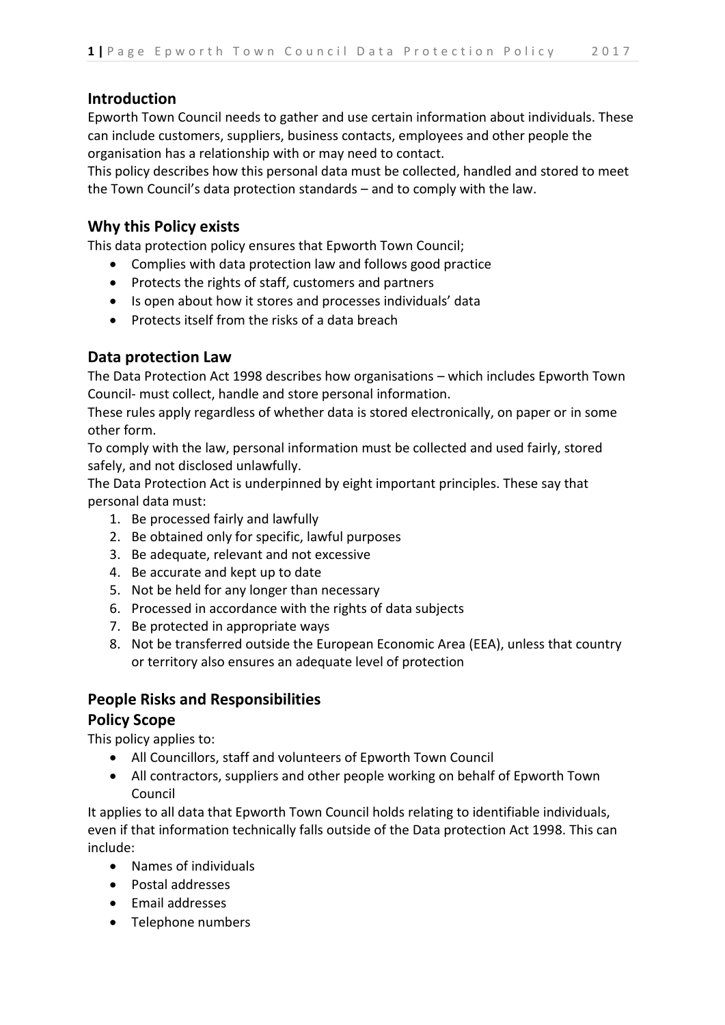## **Introduction**

Epworth Town Council needs to gather and use certain information about individuals. These can include customers, suppliers, business contacts, employees and other people the organisation has a relationship with or may need to contact.

This policy describes how this personal data must be collected, handled and stored to meet the Town Council's data protection standards – and to comply with the law.

## **Why this Policy exists**

This data protection policy ensures that Epworth Town Council;

- Complies with data protection law and follows good practice
- Protects the rights of staff, customers and partners
- Is open about how it stores and processes individuals' data
- Protects itself from the risks of a data breach

## **Data protection Law**

The Data Protection Act 1998 describes how organisations – which includes Epworth Town Council- must collect, handle and store personal information.

These rules apply regardless of whether data is stored electronically, on paper or in some other form.

To comply with the law, personal information must be collected and used fairly, stored safely, and not disclosed unlawfully.

The Data Protection Act is underpinned by eight important principles. These say that personal data must:

- 1. Be processed fairly and lawfully
- 2. Be obtained only for specific, lawful purposes
- 3. Be adequate, relevant and not excessive
- 4. Be accurate and kept up to date
- 5. Not be held for any longer than necessary
- 6. Processed in accordance with the rights of data subjects
- 7. Be protected in appropriate ways
- 8. Not be transferred outside the European Economic Area (EEA), unless that country or territory also ensures an adequate level of protection

#### **People Risks and Responsibilities**

#### **Policy Scope**

This policy applies to:

- All Councillors, staff and volunteers of Epworth Town Council
- All contractors, suppliers and other people working on behalf of Epworth Town Council

It applies to all data that Epworth Town Council holds relating to identifiable individuals, even if that information technically falls outside of the Data protection Act 1998. This can include:

- Names of individuals
- Postal addresses
- Email addresses
- Telephone numbers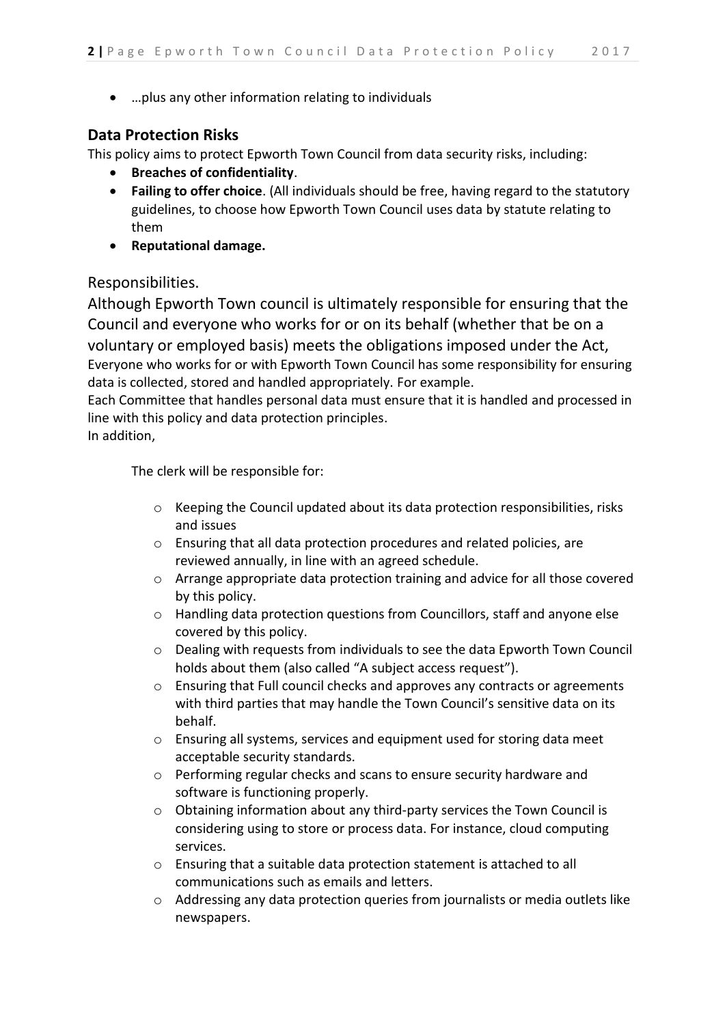…plus any other information relating to individuals

# **Data Protection Risks**

This policy aims to protect Epworth Town Council from data security risks, including:

- **Breaches of confidentiality**.
- **Failing to offer choice**. (All individuals should be free, having regard to the statutory guidelines, to choose how Epworth Town Council uses data by statute relating to them
- **Reputational damage.**

# Responsibilities.

Although Epworth Town council is ultimately responsible for ensuring that the Council and everyone who works for or on its behalf (whether that be on a voluntary or employed basis) meets the obligations imposed under the Act, Everyone who works for or with Epworth Town Council has some responsibility for ensuring data is collected, stored and handled appropriately. For example.

Each Committee that handles personal data must ensure that it is handled and processed in line with this policy and data protection principles.

In addition,

The clerk will be responsible for:

- $\circ$  Keeping the Council updated about its data protection responsibilities, risks and issues
- o Ensuring that all data protection procedures and related policies, are reviewed annually, in line with an agreed schedule.
- o Arrange appropriate data protection training and advice for all those covered by this policy.
- o Handling data protection questions from Councillors, staff and anyone else covered by this policy.
- o Dealing with requests from individuals to see the data Epworth Town Council holds about them (also called "A subject access request").
- o Ensuring that Full council checks and approves any contracts or agreements with third parties that may handle the Town Council's sensitive data on its behalf.
- o Ensuring all systems, services and equipment used for storing data meet acceptable security standards.
- o Performing regular checks and scans to ensure security hardware and software is functioning properly.
- o Obtaining information about any third-party services the Town Council is considering using to store or process data. For instance, cloud computing services.
- o Ensuring that a suitable data protection statement is attached to all communications such as emails and letters.
- o Addressing any data protection queries from journalists or media outlets like newspapers.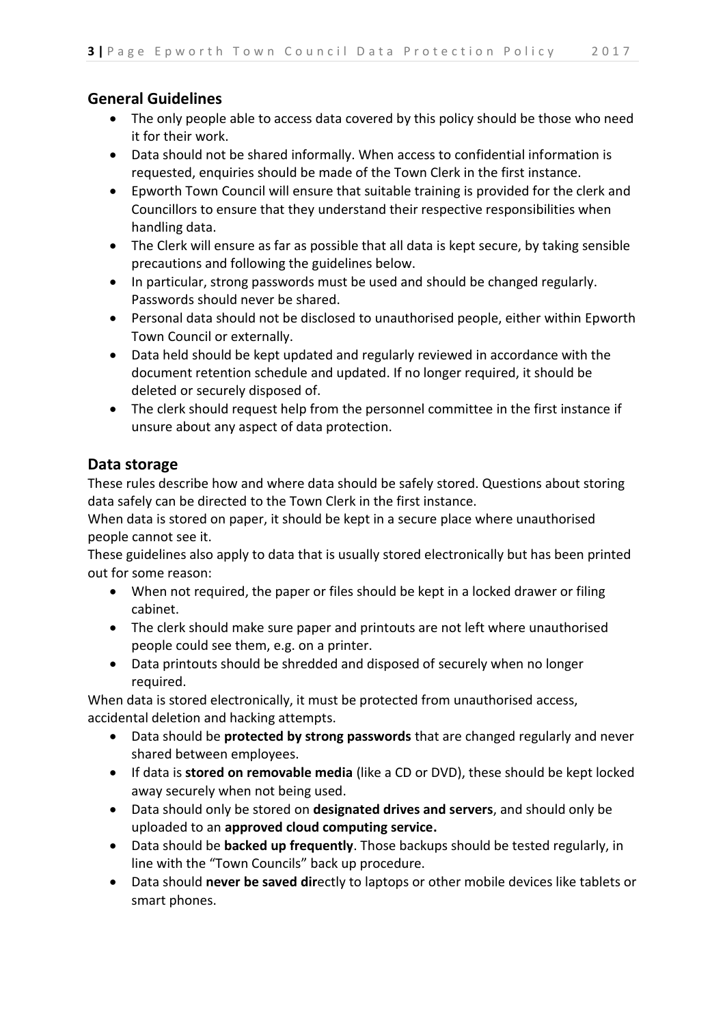# **General Guidelines**

- The only people able to access data covered by this policy should be those who need it for their work.
- Data should not be shared informally. When access to confidential information is requested, enquiries should be made of the Town Clerk in the first instance.
- Epworth Town Council will ensure that suitable training is provided for the clerk and Councillors to ensure that they understand their respective responsibilities when handling data.
- The Clerk will ensure as far as possible that all data is kept secure, by taking sensible precautions and following the guidelines below.
- In particular, strong passwords must be used and should be changed regularly. Passwords should never be shared.
- Personal data should not be disclosed to unauthorised people, either within Epworth Town Council or externally.
- Data held should be kept updated and regularly reviewed in accordance with the document retention schedule and updated. If no longer required, it should be deleted or securely disposed of.
- The clerk should request help from the personnel committee in the first instance if unsure about any aspect of data protection.

# **Data storage**

These rules describe how and where data should be safely stored. Questions about storing data safely can be directed to the Town Clerk in the first instance.

When data is stored on paper, it should be kept in a secure place where unauthorised people cannot see it.

These guidelines also apply to data that is usually stored electronically but has been printed out for some reason:

- When not required, the paper or files should be kept in a locked drawer or filing cabinet.
- The clerk should make sure paper and printouts are not left where unauthorised people could see them, e.g. on a printer.
- Data printouts should be shredded and disposed of securely when no longer required.

When data is stored electronically, it must be protected from unauthorised access, accidental deletion and hacking attempts.

- Data should be **protected by strong passwords** that are changed regularly and never shared between employees.
- If data is **stored on removable media** (like a CD or DVD), these should be kept locked away securely when not being used.
- Data should only be stored on **designated drives and servers**, and should only be uploaded to an **approved cloud computing service.**
- Data should be **backed up frequently**. Those backups should be tested regularly, in line with the "Town Councils" back up procedure.
- Data should **never be saved dir**ectly to laptops or other mobile devices like tablets or smart phones.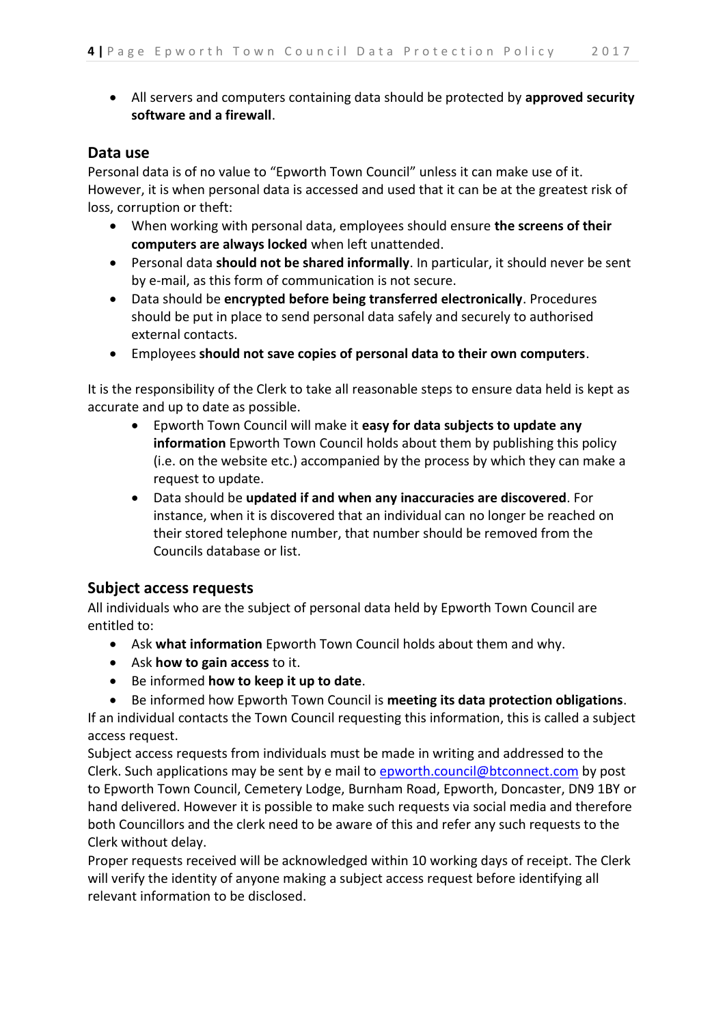All servers and computers containing data should be protected by **approved security software and a firewall**.

## **Data use**

Personal data is of no value to "Epworth Town Council" unless it can make use of it. However, it is when personal data is accessed and used that it can be at the greatest risk of loss, corruption or theft:

- When working with personal data, employees should ensure **the screens of their computers are always locked** when left unattended.
- Personal data **should not be shared informally**. In particular, it should never be sent by e-mail, as this form of communication is not secure.
- Data should be **encrypted before being transferred electronically**. Procedures should be put in place to send personal data safely and securely to authorised external contacts.
- Employees **should not save copies of personal data to their own computers**.

It is the responsibility of the Clerk to take all reasonable steps to ensure data held is kept as accurate and up to date as possible.

- Epworth Town Council will make it **easy for data subjects to update any information** Epworth Town Council holds about them by publishing this policy (i.e. on the website etc.) accompanied by the process by which they can make a request to update.
- Data should be **updated if and when any inaccuracies are discovered**. For instance, when it is discovered that an individual can no longer be reached on their stored telephone number, that number should be removed from the Councils database or list.

## **Subject access requests**

All individuals who are the subject of personal data held by Epworth Town Council are entitled to:

- Ask **what information** Epworth Town Council holds about them and why.
- Ask **how to gain access** to it.
- Be informed **how to keep it up to date**.
- Be informed how Epworth Town Council is **meeting its data protection obligations**.

If an individual contacts the Town Council requesting this information, this is called a subject access request.

Subject access requests from individuals must be made in writing and addressed to the Clerk. Such applications may be sent by e mail to [epworth.council@btconnect.com](mailto:epworth.council@btconnect.com) by post to Epworth Town Council, Cemetery Lodge, Burnham Road, Epworth, Doncaster, DN9 1BY or hand delivered. However it is possible to make such requests via social media and therefore both Councillors and the clerk need to be aware of this and refer any such requests to the Clerk without delay.

Proper requests received will be acknowledged within 10 working days of receipt. The Clerk will verify the identity of anyone making a subject access request before identifying all relevant information to be disclosed.